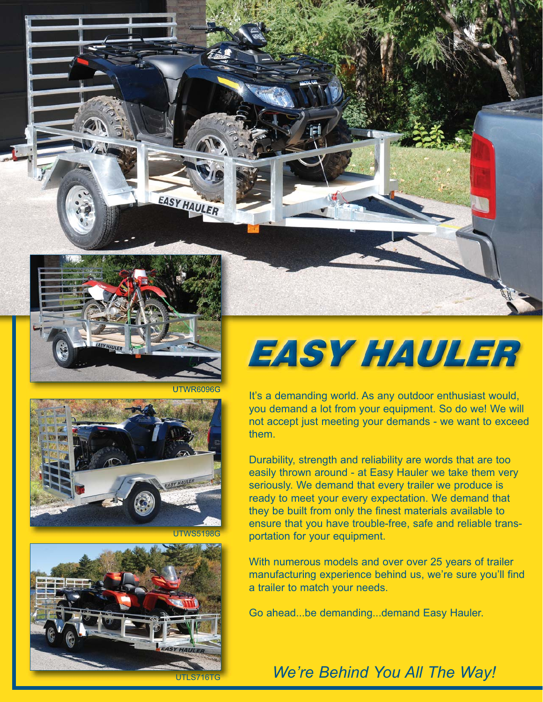



**UTWR60** 





# EASY HAULER

It's a demanding world. As any outdoor enthusiast would, you demand a lot from your equipment. So do we! We will not accept just meeting your demands - we want to exceed them.

Durability, strength and reliability are words that are too easily thrown around - at Easy Hauler we take them very seriously. We demand that every trailer we produce is ready to meet your every expectation. We demand that they be built from only the finest materials available to ensure that you have trouble-free, safe and reliable transportation for your equipment.

With numerous models and over over 25 years of trailer manufacturing experience behind us, we're sure you'll find a trailer to match your needs.

Go ahead...be demanding...demand Easy Hauler.

*We're Behind You All The Way!*